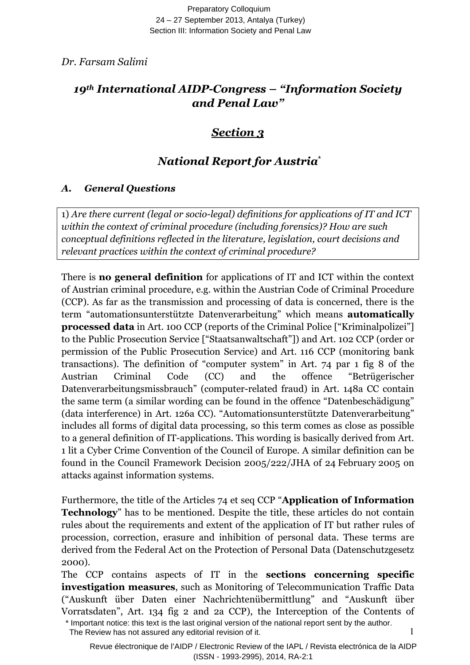Preparatory Colloquium 24 – 27 September 2013, Antalya (Turkey) Section III: Information Society and Penal Law

*Dr. Farsam Salimi* 

# *19th International AIDP-Congress – "Information Society and Penal Law"*

# *Section 3*

# *National Report for Austria*  \*

## *A. General Questions*

1) *Are there current (legal or socio-legal) definitions for applications of IT and ICT within the context of criminal procedure (including forensics)? How are such conceptual definitions reflected in the literature, legislation, court decisions and relevant practices within the context of criminal procedure?* 

There is **no general definition** for applications of IT and ICT within the context of Austrian criminal procedure, e.g. within the Austrian Code of Criminal Procedure (CCP). As far as the transmission and processing of data is concerned, there is the term "automationsunterstützte Datenverarbeitung" which means **automatically processed data** in Art. 100 CCP (reports of the Criminal Police ["Kriminalpolizei"] to the Public Prosecution Service ["Staatsanwaltschaft"]) and Art. 102 CCP (order or permission of the Public Prosecution Service) and Art. 116 CCP (monitoring bank transactions). The definition of "computer system" in Art. 74 par 1 fig 8 of the Austrian Criminal Code (CC) and the offence "Betrügerischer Datenverarbeitungsmissbrauch" (computer-related fraud) in Art. 148a CC contain the same term (a similar wording can be found in the offence "Datenbeschädigung" (data interference) in Art. 126a CC). "Automationsunterstützte Datenverarbeitung" includes all forms of digital data processing, so this term comes as close as possible to a general definition of IT-applications. This wording is basically derived from Art. 1 lit a Cyber Crime Convention of the Council of Europe. A similar definition can be found in the Council Framework Decision 2005/222/JHA of 24 February 2005 on attacks against information systems.

Furthermore, the title of the Articles 74 et seq CCP "**Application of Information Technology**" has to be mentioned. Despite the title, these articles do not contain rules about the requirements and extent of the application of IT but rather rules of procession, correction, erasure and inhibition of personal data. These terms are derived from the Federal Act on the Protection of Personal Data (Datenschutzgesetz 2000).

The CCP contains aspects of IT in the **sections concerning specific investigation measures**, such as Monitoring of Telecommunication Traffic Data ("Auskunft über Daten einer Nachrichtenübermittlung" and "Auskunft über Vorratsdaten", Art. 134 fig 2 and 2a CCP), the Interception of the Contents of

1

<sup>\*</sup> Important notice: this text is the last original version of the national report sent by the author. The Review has not assured any editorial revision of it.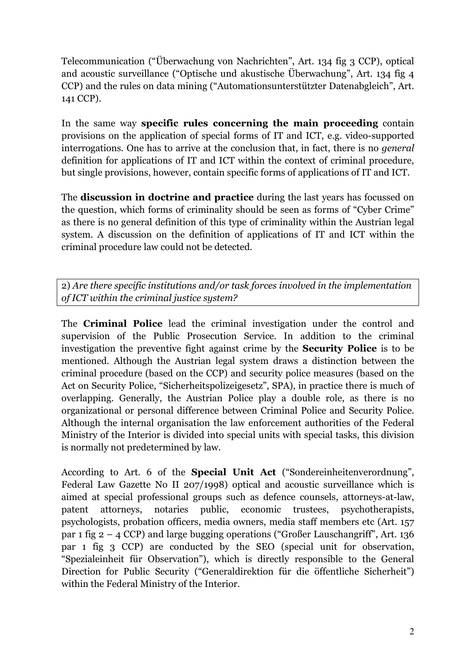Telecommunication ("Überwachung von Nachrichten", Art. 134 fig 3 CCP), optical and acoustic surveillance ("Optische und akustische Überwachung", Art. 134 fig 4 CCP) and the rules on data mining ("Automationsunterstützter Datenabgleich", Art. 141 CCP).

In the same way **specific rules concerning the main proceeding** contain provisions on the application of special forms of IT and ICT, e.g. video-supported interrogations. One has to arrive at the conclusion that, in fact, there is no *general*  definition for applications of IT and ICT within the context of criminal procedure, but single provisions, however, contain specific forms of applications of IT and ICT.

The **discussion in doctrine and practice** during the last years has focussed on the question, which forms of criminality should be seen as forms of "Cyber Crime" as there is no general definition of this type of criminality within the Austrian legal system. A discussion on the definition of applications of IT and ICT within the criminal procedure law could not be detected.

2) *Are there specific institutions and/or task forces involved in the implementation of ICT within the criminal justice system?* 

The **Criminal Police** lead the criminal investigation under the control and supervision of the Public Prosecution Service. In addition to the criminal investigation the preventive fight against crime by the **Security Police** is to be mentioned. Although the Austrian legal system draws a distinction between the criminal procedure (based on the CCP) and security police measures (based on the Act on Security Police, "Sicherheitspolizeigesetz", SPA), in practice there is much of overlapping. Generally, the Austrian Police play a double role, as there is no organizational or personal difference between Criminal Police and Security Police. Although the internal organisation the law enforcement authorities of the Federal Ministry of the Interior is divided into special units with special tasks, this division is normally not predetermined by law.

According to Art. 6 of the **Special Unit Act** ("Sondereinheitenverordnung", Federal Law Gazette No II 207/1998) optical and acoustic surveillance which is aimed at special professional groups such as defence counsels, attorneys-at-law, patent attorneys, notaries public, economic trustees, psychotherapists, psychologists, probation officers, media owners, media staff members etc (Art. 157 par 1 fig  $2 - 4$  CCP) and large bugging operations ("Großer Lauschangriff", Art. 136 par 1 fig 3 CCP) are conducted by the SEO (special unit for observation, "Spezialeinheit für Observation"), which is directly responsible to the General Direction for Public Security ("Generaldirektion für die öffentliche Sicherheit") within the Federal Ministry of the Interior.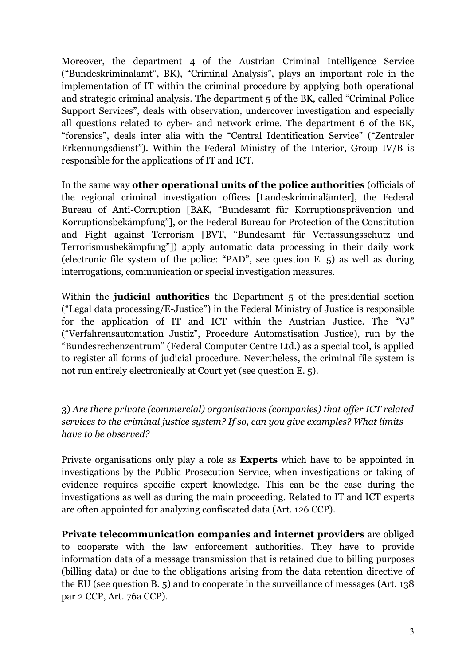Moreover, the department 4 of the Austrian Criminal Intelligence Service ("Bundeskriminalamt", BK), "Criminal Analysis", plays an important role in the implementation of IT within the criminal procedure by applying both operational and strategic criminal analysis. The department 5 of the BK, called "Criminal Police Support Services", deals with observation, undercover investigation and especially all questions related to cyber- and network crime. The department 6 of the BK, "forensics", deals inter alia with the "Central Identification Service" ("Zentraler Erkennungsdienst"). Within the Federal Ministry of the Interior, Group IV/B is responsible for the applications of IT and ICT.

In the same way **other operational units of the police authorities** (officials of the regional criminal investigation offices [Landeskriminalämter], the Federal Bureau of Anti-Corruption [BAK, "Bundesamt für Korruptionsprävention und Korruptionsbekämpfung"], or the Federal Bureau for Protection of the Constitution and Fight against Terrorism [BVT, "Bundesamt für Verfassungsschutz und Terrorismusbekämpfung"]) apply automatic data processing in their daily work (electronic file system of the police: "PAD", see question E. 5) as well as during interrogations, communication or special investigation measures.

Within the **judicial authorities** the Department 5 of the presidential section ("Legal data processing/E-Justice") in the Federal Ministry of Justice is responsible for the application of IT and ICT within the Austrian Justice. The "VJ" ("Verfahrensautomation Justiz", Procedure Automatisation Justice), run by the "Bundesrechenzentrum" (Federal Computer Centre Ltd.) as a special tool, is applied to register all forms of judicial procedure. Nevertheless, the criminal file system is not run entirely electronically at Court yet (see question E. 5).

3) *Are there private (commercial) organisations (companies) that offer ICT related services to the criminal justice system? If so, can you give examples? What limits have to be observed?* 

Private organisations only play a role as **Experts** which have to be appointed in investigations by the Public Prosecution Service, when investigations or taking of evidence requires specific expert knowledge. This can be the case during the investigations as well as during the main proceeding. Related to IT and ICT experts are often appointed for analyzing confiscated data (Art. 126 CCP).

**Private telecommunication companies and internet providers** are obliged to cooperate with the law enforcement authorities. They have to provide information data of a message transmission that is retained due to billing purposes (billing data) or due to the obligations arising from the data retention directive of the EU (see question B. 5) and to cooperate in the surveillance of messages (Art. 138 par 2 CCP, Art. 76a CCP).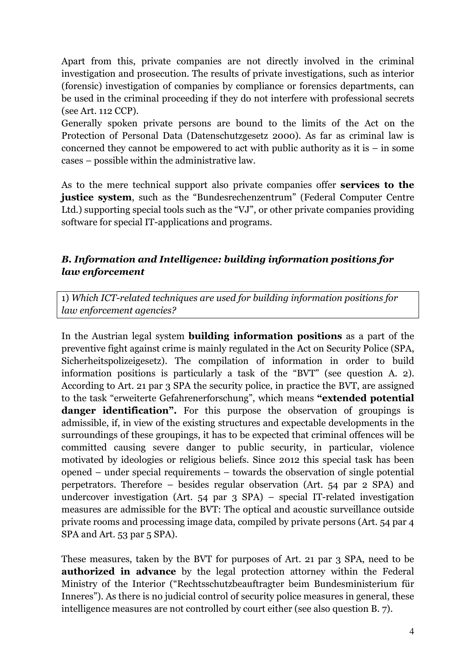Apart from this, private companies are not directly involved in the criminal investigation and prosecution. The results of private investigations, such as interior (forensic) investigation of companies by compliance or forensics departments, can be used in the criminal proceeding if they do not interfere with professional secrets (see Art. 112 CCP).

Generally spoken private persons are bound to the limits of the Act on the Protection of Personal Data (Datenschutzgesetz 2000). As far as criminal law is concerned they cannot be empowered to act with public authority as it is  $-$  in some cases – possible within the administrative law.

As to the mere technical support also private companies offer **services to the justice system**, such as the "Bundesrechenzentrum" (Federal Computer Centre Ltd.) supporting special tools such as the "VJ", or other private companies providing software for special IT-applications and programs.

#### *B. Information and Intelligence: building information positions for law enforcement*

1) *Which ICT-related techniques are used for building information positions for law enforcement agencies?* 

In the Austrian legal system **building information positions** as a part of the preventive fight against crime is mainly regulated in the Act on Security Police (SPA, Sicherheitspolizeigesetz). The compilation of information in order to build information positions is particularly a task of the "BVT" (see question A. 2). According to Art. 21 par 3 SPA the security police, in practice the BVT, are assigned to the task "erweiterte Gefahrenerforschung", which means **"extended potential danger identification**". For this purpose the observation of groupings is admissible, if, in view of the existing structures and expectable developments in the surroundings of these groupings, it has to be expected that criminal offences will be committed causing severe danger to public security, in particular, violence motivated by ideologies or religious beliefs. Since 2012 this special task has been opened – under special requirements – towards the observation of single potential perpetrators. Therefore – besides regular observation (Art. 54 par 2 SPA) and undercover investigation (Art. 54 par 3 SPA) – special IT-related investigation measures are admissible for the BVT: The optical and acoustic surveillance outside private rooms and processing image data, compiled by private persons (Art. 54 par 4 SPA and Art. 53 par 5 SPA).

These measures, taken by the BVT for purposes of Art. 21 par 3 SPA, need to be **authorized in advance** by the legal protection attorney within the Federal Ministry of the Interior ("Rechtsschutzbeauftragter beim Bundesministerium für Inneres"). As there is no judicial control of security police measures in general, these intelligence measures are not controlled by court either (see also question B. 7).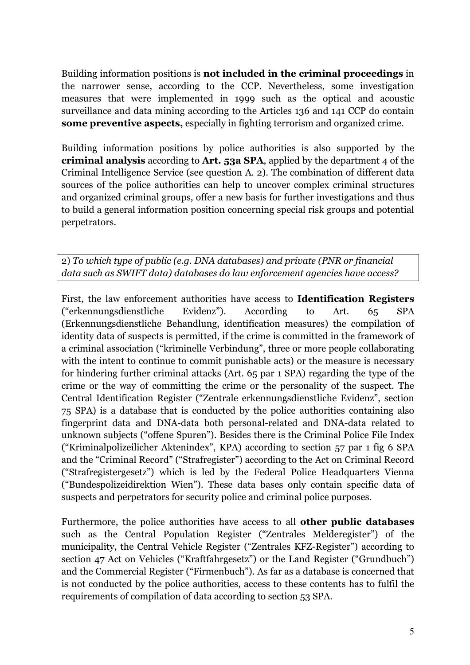Building information positions is **not included in the criminal proceedings** in the narrower sense, according to the CCP. Nevertheless, some investigation measures that were implemented in 1999 such as the optical and acoustic surveillance and data mining according to the Articles 136 and 141 CCP do contain **some preventive aspects,** especially in fighting terrorism and organized crime.

Building information positions by police authorities is also supported by the **criminal analysis** according to **Art. 53a SPA**, applied by the department 4 of the Criminal Intelligence Service (see question A. 2). The combination of different data sources of the police authorities can help to uncover complex criminal structures and organized criminal groups, offer a new basis for further investigations and thus to build a general information position concerning special risk groups and potential perpetrators.

2) *To which type of public (e.g. DNA databases) and private (PNR or financial data such as SWIFT data) databases do law enforcement agencies have access?* 

First, the law enforcement authorities have access to **Identification Registers** ("erkennungsdienstliche Evidenz"). According to Art. 65 SPA (Erkennungsdienstliche Behandlung, identification measures) the compilation of identity data of suspects is permitted, if the crime is committed in the framework of a criminal association ("kriminelle Verbindung", three or more people collaborating with the intent to continue to commit punishable acts) or the measure is necessary for hindering further criminal attacks (Art. 65 par 1 SPA) regarding the type of the crime or the way of committing the crime or the personality of the suspect. The Central Identification Register ("Zentrale erkennungsdienstliche Evidenz", section 75 SPA) is a database that is conducted by the police authorities containing also fingerprint data and DNA-data both personal-related and DNA-data related to unknown subjects ("offene Spuren"). Besides there is the Criminal Police File Index ("Kriminalpolizeilicher Aktenindex", KPA) according to section 57 par 1 fig 6 SPA and the "Criminal Record" ("Strafregister") according to the Act on Criminal Record ("Strafregistergesetz") which is led by the Federal Police Headquarters Vienna ("Bundespolizeidirektion Wien"). These data bases only contain specific data of suspects and perpetrators for security police and criminal police purposes.

Furthermore, the police authorities have access to all **other public databases** such as the Central Population Register ("Zentrales Melderegister") of the municipality, the Central Vehicle Register ("Zentrales KFZ-Register") according to section 47 Act on Vehicles ("Kraftfahrgesetz") or the Land Register ("Grundbuch") and the Commercial Register ("Firmenbuch"). As far as a database is concerned that is not conducted by the police authorities, access to these contents has to fulfil the requirements of compilation of data according to section 53 SPA.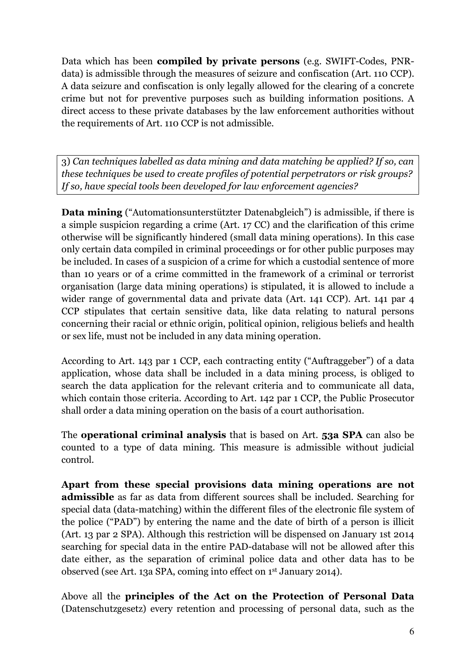Data which has been **compiled by private persons** (e.g. SWIFT-Codes, PNRdata) is admissible through the measures of seizure and confiscation (Art. 110 CCP). A data seizure and confiscation is only legally allowed for the clearing of a concrete crime but not for preventive purposes such as building information positions. A direct access to these private databases by the law enforcement authorities without the requirements of Art. 110 CCP is not admissible.

3) *Can techniques labelled as data mining and data matching be applied? If so, can these techniques be used to create profiles of potential perpetrators or risk groups? If so, have special tools been developed for law enforcement agencies?*

**Data mining** ("Automationsunterstützter Datenabgleich") is admissible, if there is a simple suspicion regarding a crime (Art. 17 CC) and the clarification of this crime otherwise will be significantly hindered (small data mining operations). In this case only certain data compiled in criminal proceedings or for other public purposes may be included. In cases of a suspicion of a crime for which a custodial sentence of more than 10 years or of a crime committed in the framework of a criminal or terrorist organisation (large data mining operations) is stipulated, it is allowed to include a wider range of governmental data and private data (Art. 141 CCP). Art. 141 par 4 CCP stipulates that certain sensitive data, like data relating to natural persons concerning their racial or ethnic origin, political opinion, religious beliefs and health or sex life, must not be included in any data mining operation.

According to Art. 143 par 1 CCP, each contracting entity ("Auftraggeber") of a data application, whose data shall be included in a data mining process, is obliged to search the data application for the relevant criteria and to communicate all data, which contain those criteria. According to Art. 142 par 1 CCP, the Public Prosecutor shall order a data mining operation on the basis of a court authorisation.

The **operational criminal analysis** that is based on Art. **53a SPA** can also be counted to a type of data mining. This measure is admissible without judicial control.

**Apart from these special provisions data mining operations are not admissible** as far as data from different sources shall be included. Searching for special data (data-matching) within the different files of the electronic file system of the police ("PAD") by entering the name and the date of birth of a person is illicit (Art. 13 par 2 SPA). Although this restriction will be dispensed on January 1st 2014 searching for special data in the entire PAD-database will not be allowed after this date either, as the separation of criminal police data and other data has to be observed (see Art. 13a SPA, coming into effect on 1st January 2014).

Above all the **principles of the Act on the Protection of Personal Data** (Datenschutzgesetz) every retention and processing of personal data, such as the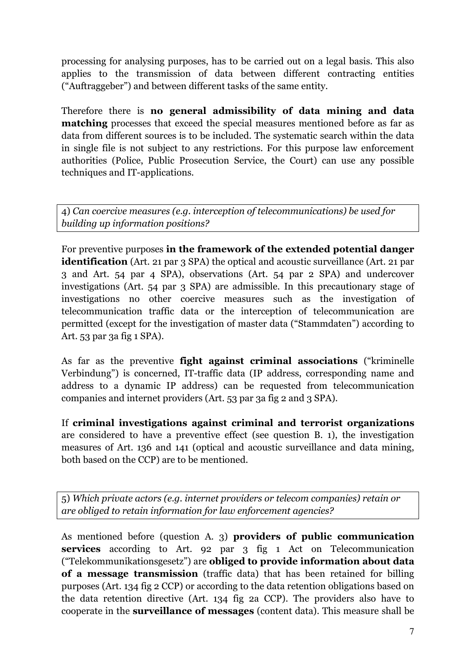processing for analysing purposes, has to be carried out on a legal basis. This also applies to the transmission of data between different contracting entities ("Auftraggeber") and between different tasks of the same entity.

Therefore there is **no general admissibility of data mining and data matching** processes that exceed the special measures mentioned before as far as data from different sources is to be included. The systematic search within the data in single file is not subject to any restrictions. For this purpose law enforcement authorities (Police, Public Prosecution Service, the Court) can use any possible techniques and IT-applications.

4) *Can coercive measures (e.g. interception of telecommunications) be used for building up information positions?*

For preventive purposes **in the framework of the extended potential danger identification** (Art. 21 par 3 SPA) the optical and acoustic surveillance (Art. 21 par 3 and Art. 54 par 4 SPA), observations (Art. 54 par 2 SPA) and undercover investigations (Art. 54 par 3 SPA) are admissible. In this precautionary stage of investigations no other coercive measures such as the investigation of telecommunication traffic data or the interception of telecommunication are permitted (except for the investigation of master data ("Stammdaten") according to Art. 53 par 3a fig 1 SPA).

As far as the preventive **fight against criminal associations** ("kriminelle Verbindung") is concerned, IT-traffic data (IP address, corresponding name and address to a dynamic IP address) can be requested from telecommunication companies and internet providers (Art. 53 par 3a fig 2 and 3 SPA).

If **criminal investigations against criminal and terrorist organizations** are considered to have a preventive effect (see question B. 1), the investigation measures of Art. 136 and 141 (optical and acoustic surveillance and data mining, both based on the CCP) are to be mentioned.

5) *Which private actors (e.g. internet providers or telecom companies) retain or are obliged to retain information for law enforcement agencies?*

As mentioned before (question A. 3) **providers of public communication services** according to Art. 92 par 3 fig 1 Act on Telecommunication ("Telekommunikationsgesetz") are **obliged to provide information about data of a message transmission** (traffic data) that has been retained for billing purposes (Art. 134 fig 2 CCP) or according to the data retention obligations based on the data retention directive (Art. 134 fig 2a CCP). The providers also have to cooperate in the **surveillance of messages** (content data). This measure shall be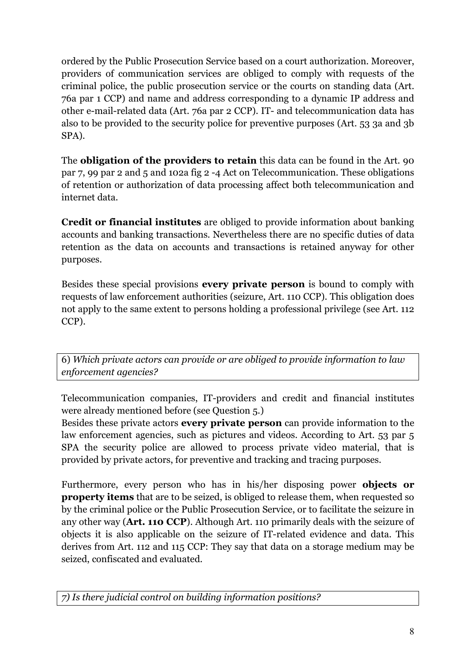ordered by the Public Prosecution Service based on a court authorization. Moreover, providers of communication services are obliged to comply with requests of the criminal police, the public prosecution service or the courts on standing data (Art. 76a par 1 CCP) and name and address corresponding to a dynamic IP address and other e-mail-related data (Art. 76a par 2 CCP). IT- and telecommunication data has also to be provided to the security police for preventive purposes (Art. 53 3a and 3b SPA).

The **obligation of the providers to retain** this data can be found in the Art. 90 par 7, 99 par 2 and 5 and 102a fig 2 -4 Act on Telecommunication. These obligations of retention or authorization of data processing affect both telecommunication and internet data.

**Credit or financial institutes** are obliged to provide information about banking accounts and banking transactions. Nevertheless there are no specific duties of data retention as the data on accounts and transactions is retained anyway for other purposes.

Besides these special provisions **every private person** is bound to comply with requests of law enforcement authorities (seizure, Art. 110 CCP). This obligation does not apply to the same extent to persons holding a professional privilege (see Art. 112 CCP).

6) *Which private actors can provide or are obliged to provide information to law enforcement agencies?*

Telecommunication companies, IT-providers and credit and financial institutes were already mentioned before (see Question 5.)

Besides these private actors **every private person** can provide information to the law enforcement agencies, such as pictures and videos. According to Art. 53 par 5 SPA the security police are allowed to process private video material, that is provided by private actors, for preventive and tracking and tracing purposes.

Furthermore, every person who has in his/her disposing power **objects or property items** that are to be seized, is obliged to release them, when requested so by the criminal police or the Public Prosecution Service, or to facilitate the seizure in any other way (**Art. 110 CCP**). Although Art. 110 primarily deals with the seizure of objects it is also applicable on the seizure of IT-related evidence and data. This derives from Art. 112 and 115 CCP: They say that data on a storage medium may be seized, confiscated and evaluated.

*7) Is there judicial control on building information positions?*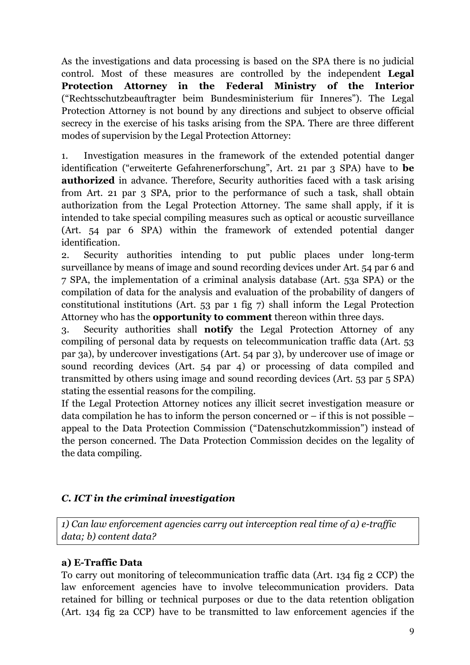As the investigations and data processing is based on the SPA there is no judicial control. Most of these measures are controlled by the independent **Legal Protection Attorney in the Federal Ministry of the Interior**  ("Rechtsschutzbeauftragter beim Bundesministerium für Inneres"). The Legal Protection Attorney is not bound by any directions and subject to observe official secrecy in the exercise of his tasks arising from the SPA. There are three different modes of supervision by the Legal Protection Attorney:

1. Investigation measures in the framework of the extended potential danger identification ("erweiterte Gefahrenerforschung", Art. 21 par 3 SPA) have to **be authorized** in advance. Therefore, Security authorities faced with a task arising from Art. 21 par 3 SPA, prior to the performance of such a task, shall obtain authorization from the Legal Protection Attorney. The same shall apply, if it is intended to take special compiling measures such as optical or acoustic surveillance (Art. 54 par 6 SPA) within the framework of extended potential danger identification.

2. Security authorities intending to put public places under long-term surveillance by means of image and sound recording devices under Art. 54 par 6 and 7 SPA, the implementation of a criminal analysis database (Art. 53a SPA) or the compilation of data for the analysis and evaluation of the probability of dangers of constitutional institutions (Art. 53 par 1 fig 7) shall inform the Legal Protection Attorney who has the **opportunity to comment** thereon within three days.

3. Security authorities shall **notify** the Legal Protection Attorney of any compiling of personal data by requests on telecommunication traffic data (Art. 53 par 3a), by undercover investigations (Art. 54 par 3), by undercover use of image or sound recording devices (Art. 54 par 4) or processing of data compiled and transmitted by others using image and sound recording devices (Art. 53 par 5 SPA) stating the essential reasons for the compiling.

If the Legal Protection Attorney notices any illicit secret investigation measure or data compilation he has to inform the person concerned or – if this is not possible – appeal to the Data Protection Commission ("Datenschutzkommission") instead of the person concerned. The Data Protection Commission decides on the legality of the data compiling.

#### *C. ICT in the criminal investigation*

*1) Can law enforcement agencies carry out interception real time of a) e-traffic data; b) content data?* 

#### **a) E-Traffic Data**

To carry out monitoring of telecommunication traffic data (Art. 134 fig 2 CCP) the law enforcement agencies have to involve telecommunication providers. Data retained for billing or technical purposes or due to the data retention obligation (Art. 134 fig 2a CCP) have to be transmitted to law enforcement agencies if the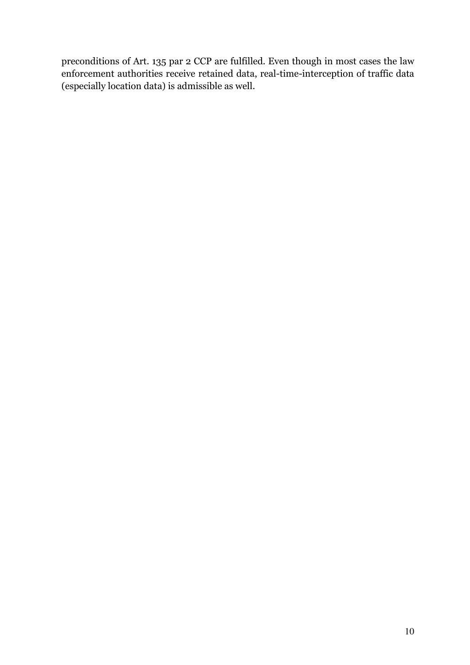preconditions of Art. 135 par 2 CCP are fulfilled. Even though in most cases the law enforcement authorities receive retained data, real-time-interception of traffic data (especially location data) is admissible as well.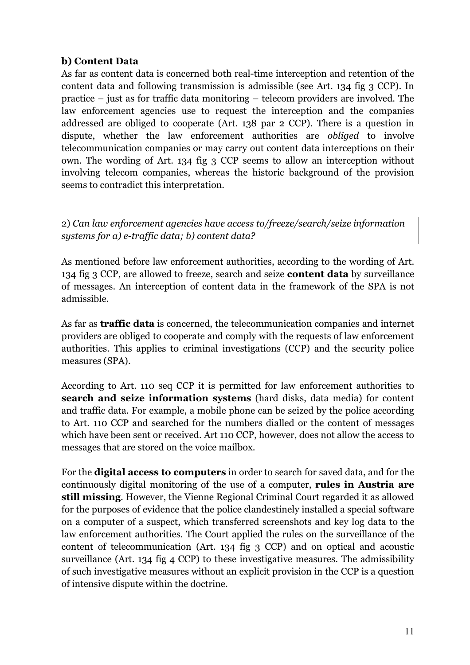#### **b) Content Data**

As far as content data is concerned both real-time interception and retention of the content data and following transmission is admissible (see Art. 134 fig 3 CCP). In practice – just as for traffic data monitoring – telecom providers are involved. The law enforcement agencies use to request the interception and the companies addressed are obliged to cooperate (Art. 138 par 2 CCP). There is a question in dispute, whether the law enforcement authorities are *obliged* to involve telecommunication companies or may carry out content data interceptions on their own. The wording of Art. 134 fig 3 CCP seems to allow an interception without involving telecom companies, whereas the historic background of the provision seems to contradict this interpretation.

2) *Can law enforcement agencies have access to/freeze/search/seize information systems for a) e-traffic data; b) content data?*

As mentioned before law enforcement authorities, according to the wording of Art. 134 fig 3 CCP, are allowed to freeze, search and seize **content data** by surveillance of messages. An interception of content data in the framework of the SPA is not admissible.

As far as **traffic data** is concerned, the telecommunication companies and internet providers are obliged to cooperate and comply with the requests of law enforcement authorities. This applies to criminal investigations (CCP) and the security police measures (SPA).

According to Art. 110 seq CCP it is permitted for law enforcement authorities to **search and seize information systems** (hard disks, data media) for content and traffic data. For example, a mobile phone can be seized by the police according to Art. 110 CCP and searched for the numbers dialled or the content of messages which have been sent or received. Art 110 CCP, however, does not allow the access to messages that are stored on the voice mailbox.

For the **digital access to computers** in order to search for saved data, and for the continuously digital monitoring of the use of a computer, **rules in Austria are still missing**. However, the Vienne Regional Criminal Court regarded it as allowed for the purposes of evidence that the police clandestinely installed a special software on a computer of a suspect, which transferred screenshots and key log data to the law enforcement authorities. The Court applied the rules on the surveillance of the content of telecommunication (Art. 134 fig 3 CCP) and on optical and acoustic surveillance (Art. 134 fig 4 CCP) to these investigative measures. The admissibility of such investigative measures without an explicit provision in the CCP is a question of intensive dispute within the doctrine.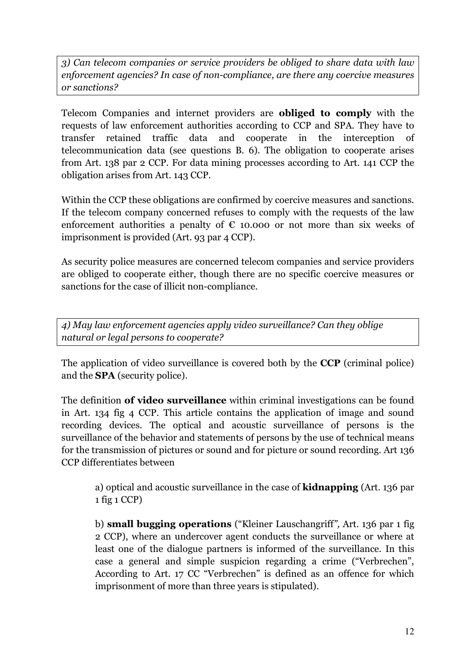*3) Can telecom companies or service providers be obliged to share data with law enforcement agencies? In case of non-compliance, are there any coercive measures or sanctions?* 

Telecom Companies and internet providers are **obliged to comply** with the requests of law enforcement authorities according to CCP and SPA. They have to transfer retained traffic data and cooperate in the interception of telecommunication data (see questions B. 6). The obligation to cooperate arises from Art. 138 par 2 CCP. For data mining processes according to Art. 141 CCP the obligation arises from Art. 143 CCP.

Within the CCP these obligations are confirmed by coercive measures and sanctions. If the telecom company concerned refuses to comply with the requests of the law enforcement authorities a penalty of  $\epsilon$  10.000 or not more than six weeks of imprisonment is provided (Art. 93 par 4 CCP).

As security police measures are concerned telecom companies and service providers are obliged to cooperate either, though there are no specific coercive measures or sanctions for the case of illicit non-compliance.

*4) May law enforcement agencies apply video surveillance? Can they oblige natural or legal persons to cooperate?* 

The application of video surveillance is covered both by the **CCP** (criminal police) and the **SPA** (security police).

The definition **of video surveillance** within criminal investigations can be found in Art. 134 fig 4 CCP. This article contains the application of image and sound recording devices. The optical and acoustic surveillance of persons is the surveillance of the behavior and statements of persons by the use of technical means for the transmission of pictures or sound and for picture or sound recording. Art 136 CCP differentiates between

a) optical and acoustic surveillance in the case of **kidnapping** (Art. 136 par 1 fig 1 CCP)

b) **small bugging operations** ("Kleiner Lauschangriff*",* Art. 136 par 1 fig 2 CCP), where an undercover agent conducts the surveillance or where at least one of the dialogue partners is informed of the surveillance. In this case a general and simple suspicion regarding a crime ("Verbrechen", According to Art. 17 CC "Verbrechen" is defined as an offence for which imprisonment of more than three years is stipulated).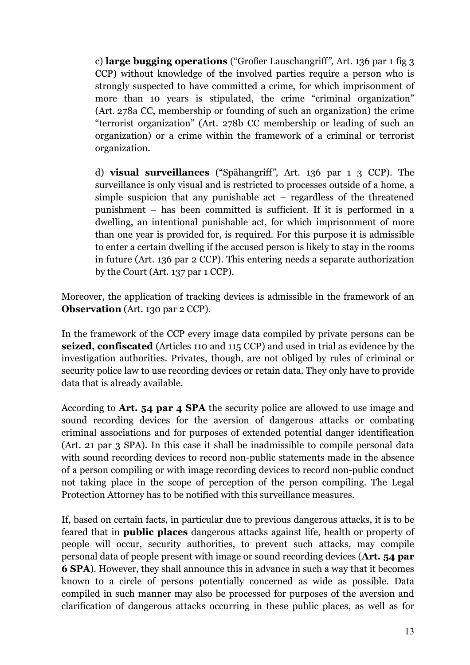c) **large bugging operations** ("Großer Lauschangriff*",* Art. 136 par 1 fig 3 CCP) without knowledge of the involved parties require a person who is strongly suspected to have committed a crime, for which imprisonment of more than 10 years is stipulated, the crime "criminal organization" (Art. 278a CC, membership or founding of such an organization) the crime "terrorist organization" (Art. 278b CC membership or leading of such an organization) or a crime within the framework of a criminal or terrorist organization.

d) **visual surveillances** ("Spähangriff*",* Art. 136 par 1 3 CCP). The surveillance is only visual and is restricted to processes outside of a home, a simple suspicion that any punishable act – regardless of the threatened punishment – has been committed is sufficient. If it is performed in a dwelling, an intentional punishable act, for which imprisonment of more than one year is provided for, is required. For this purpose it is admissible to enter a certain dwelling if the accused person is likely to stay in the rooms in future (Art. 136 par 2 CCP). This entering needs a separate authorization by the Court (Art. 137 par 1 CCP).

Moreover, the application of tracking devices is admissible in the framework of an **Observation** (Art. 130 par 2 CCP).

In the framework of the CCP every image data compiled by private persons can be **seized, confiscated** (Articles 110 and 115 CCP) and used in trial as evidence by the investigation authorities. Privates, though, are not obliged by rules of criminal or security police law to use recording devices or retain data. They only have to provide data that is already available.

According to **Art. 54 par 4 SPA** the security police are allowed to use image and sound recording devices for the aversion of dangerous attacks or combating criminal associations and for purposes of extended potential danger identification (Art. 21 par 3 SPA). In this case it shall be inadmissible to compile personal data with sound recording devices to record non-public statements made in the absence of a person compiling or with image recording devices to record non-public conduct not taking place in the scope of perception of the person compiling. The Legal Protection Attorney has to be notified with this surveillance measures.

If, based on certain facts, in particular due to previous dangerous attacks, it is to be feared that in **public places** dangerous attacks against life, health or property of people will occur, security authorities, to prevent such attacks, may compile personal data of people present with image or sound recording devices (**Art. 54 par 6 SPA**). However, they shall announce this in advance in such a way that it becomes known to a circle of persons potentially concerned as wide as possible. Data compiled in such manner may also be processed for purposes of the aversion and clarification of dangerous attacks occurring in these public places, as well as for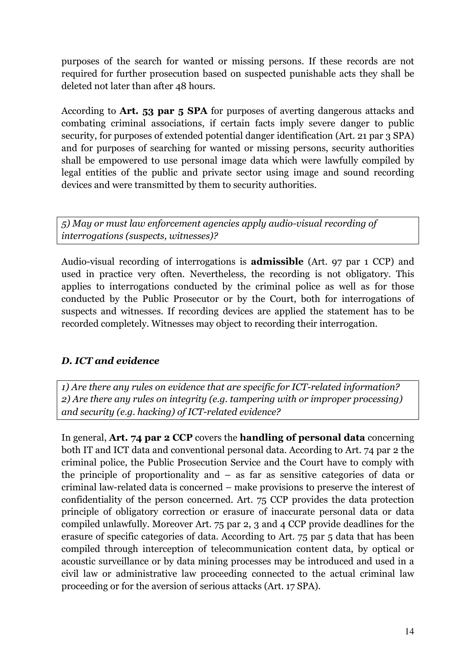purposes of the search for wanted or missing persons. If these records are not required for further prosecution based on suspected punishable acts they shall be deleted not later than after 48 hours.

According to **Art. 53 par 5 SPA** for purposes of averting dangerous attacks and combating criminal associations, if certain facts imply severe danger to public security, for purposes of extended potential danger identification (Art. 21 par 3 SPA) and for purposes of searching for wanted or missing persons, security authorities shall be empowered to use personal image data which were lawfully compiled by legal entities of the public and private sector using image and sound recording devices and were transmitted by them to security authorities.

*5) May or must law enforcement agencies apply audio-visual recording of interrogations (suspects, witnesses)?* 

Audio-visual recording of interrogations is **admissible** (Art. 97 par 1 CCP) and used in practice very often. Nevertheless, the recording is not obligatory. This applies to interrogations conducted by the criminal police as well as for those conducted by the Public Prosecutor or by the Court, both for interrogations of suspects and witnesses. If recording devices are applied the statement has to be recorded completely. Witnesses may object to recording their interrogation.

#### *D. ICT and evidence*

*1) Are there any rules on evidence that are specific for ICT-related information? 2) Are there any rules on integrity (e.g. tampering with or improper processing) and security (e.g. hacking) of ICT-related evidence?* 

In general, **Art. 74 par 2 CCP** covers the **handling of personal data** concerning both IT and ICT data and conventional personal data. According to Art. 74 par 2 the criminal police, the Public Prosecution Service and the Court have to comply with the principle of proportionality and – as far as sensitive categories of data or criminal law-related data is concerned – make provisions to preserve the interest of confidentiality of the person concerned. Art. 75 CCP provides the data protection principle of obligatory correction or erasure of inaccurate personal data or data compiled unlawfully. Moreover Art. 75 par 2, 3 and 4 CCP provide deadlines for the erasure of specific categories of data. According to Art. 75 par 5 data that has been compiled through interception of telecommunication content data, by optical or acoustic surveillance or by data mining processes may be introduced and used in a civil law or administrative law proceeding connected to the actual criminal law proceeding or for the aversion of serious attacks (Art. 17 SPA).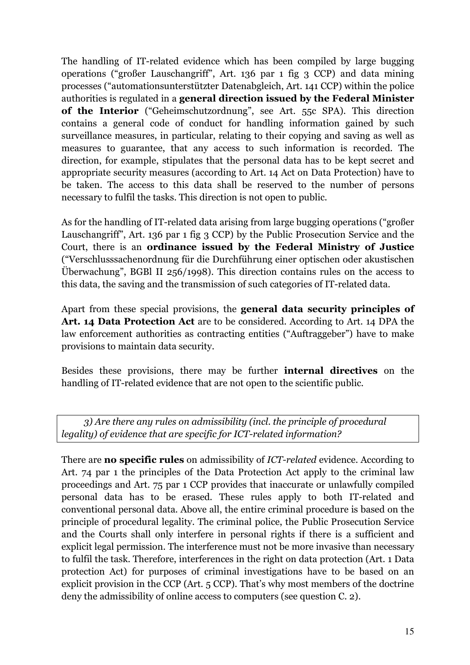The handling of IT-related evidence which has been compiled by large bugging operations ("großer Lauschangriff", Art. 136 par 1 fig 3 CCP) and data mining processes ("automationsunterstützter Datenabgleich, Art. 141 CCP) within the police authorities is regulated in a **general direction issued by the Federal Minister of the Interior** ("Geheimschutzordnung", see Art. 55c SPA). This direction contains a general code of conduct for handling information gained by such surveillance measures, in particular, relating to their copying and saving as well as measures to guarantee, that any access to such information is recorded. The direction, for example, stipulates that the personal data has to be kept secret and appropriate security measures (according to Art. 14 Act on Data Protection) have to be taken. The access to this data shall be reserved to the number of persons necessary to fulfil the tasks. This direction is not open to public.

As for the handling of IT-related data arising from large bugging operations ("großer Lauschangriff", Art. 136 par 1 fig 3 CCP) by the Public Prosecution Service and the Court, there is an **ordinance issued by the Federal Ministry of Justice** ("Verschlusssachenordnung für die Durchführung einer optischen oder akustischen Überwachung", BGBl II 256/1998). This direction contains rules on the access to this data, the saving and the transmission of such categories of IT-related data.

Apart from these special provisions, the **general data security principles of Art. 14 Data Protection Act** are to be considered. According to Art. 14 DPA the law enforcement authorities as contracting entities ("Auftraggeber") have to make provisions to maintain data security.

Besides these provisions, there may be further **internal directives** on the handling of IT-related evidence that are not open to the scientific public.

*3) Are there any rules on admissibility (incl. the principle of procedural legality) of evidence that are specific for ICT-related information?* 

There are **no specific rules** on admissibility of *ICT-related* evidence. According to Art. 74 par 1 the principles of the Data Protection Act apply to the criminal law proceedings and Art. 75 par 1 CCP provides that inaccurate or unlawfully compiled personal data has to be erased. These rules apply to both IT-related and conventional personal data. Above all, the entire criminal procedure is based on the principle of procedural legality. The criminal police, the Public Prosecution Service and the Courts shall only interfere in personal rights if there is a sufficient and explicit legal permission. The interference must not be more invasive than necessary to fulfil the task. Therefore, interferences in the right on data protection (Art. 1 Data protection Act) for purposes of criminal investigations have to be based on an explicit provision in the CCP (Art. 5 CCP). That's why most members of the doctrine deny the admissibility of online access to computers (see question C. 2).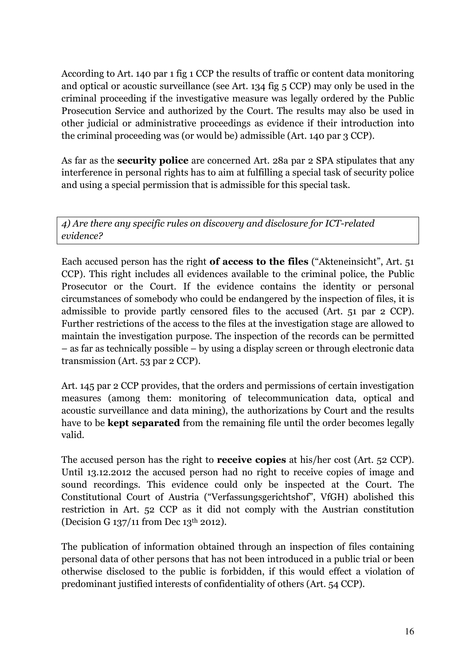According to Art. 140 par 1 fig 1 CCP the results of traffic or content data monitoring and optical or acoustic surveillance (see Art. 134 fig 5 CCP) may only be used in the criminal proceeding if the investigative measure was legally ordered by the Public Prosecution Service and authorized by the Court. The results may also be used in other judicial or administrative proceedings as evidence if their introduction into the criminal proceeding was (or would be) admissible (Art. 140 par 3 CCP).

As far as the **security police** are concerned Art. 28a par 2 SPA stipulates that any interference in personal rights has to aim at fulfilling a special task of security police and using a special permission that is admissible for this special task.

*4) Are there any specific rules on discovery and disclosure for ICT-related evidence?* 

Each accused person has the right **of access to the files** ("Akteneinsicht", Art. 51 CCP). This right includes all evidences available to the criminal police, the Public Prosecutor or the Court. If the evidence contains the identity or personal circumstances of somebody who could be endangered by the inspection of files, it is admissible to provide partly censored files to the accused (Art. 51 par 2 CCP). Further restrictions of the access to the files at the investigation stage are allowed to maintain the investigation purpose. The inspection of the records can be permitted – as far as technically possible – by using a display screen or through electronic data transmission (Art. 53 par 2 CCP).

Art. 145 par 2 CCP provides, that the orders and permissions of certain investigation measures (among them: monitoring of telecommunication data, optical and acoustic surveillance and data mining), the authorizations by Court and the results have to be **kept separated** from the remaining file until the order becomes legally valid.

The accused person has the right to **receive copies** at his/her cost (Art. 52 CCP). Until 13.12.2012 the accused person had no right to receive copies of image and sound recordings. This evidence could only be inspected at the Court. The Constitutional Court of Austria ("Verfassungsgerichtshof", VfGH) abolished this restriction in Art. 52 CCP as it did not comply with the Austrian constitution (Decision G 137/11 from Dec 13th 2012).

The publication of information obtained through an inspection of files containing personal data of other persons that has not been introduced in a public trial or been otherwise disclosed to the public is forbidden, if this would effect a violation of predominant justified interests of confidentiality of others (Art. 54 CCP).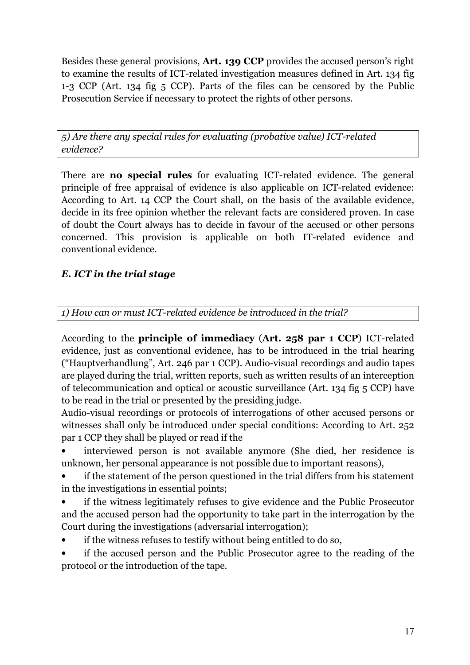Besides these general provisions, **Art. 139 CCP** provides the accused person's right to examine the results of ICT-related investigation measures defined in Art. 134 fig 1-3 CCP (Art. 134 fig 5 CCP). Parts of the files can be censored by the Public Prosecution Service if necessary to protect the rights of other persons.

*5) Are there any special rules for evaluating (probative value) ICT-related evidence?* 

There are **no special rules** for evaluating ICT-related evidence. The general principle of free appraisal of evidence is also applicable on ICT-related evidence: According to Art. 14 CCP the Court shall, on the basis of the available evidence, decide in its free opinion whether the relevant facts are considered proven. In case of doubt the Court always has to decide in favour of the accused or other persons concerned. This provision is applicable on both IT-related evidence and conventional evidence.

### *E. ICT in the trial stage*

*1) How can or must ICT-related evidence be introduced in the trial?* 

According to the **principle of immediacy** (**Art. 258 par 1 CCP**) ICT-related evidence, just as conventional evidence, has to be introduced in the trial hearing ("Hauptverhandlung", Art. 246 par 1 CCP). Audio-visual recordings and audio tapes are played during the trial, written reports, such as written results of an interception of telecommunication and optical or acoustic surveillance (Art. 134 fig 5 CCP) have to be read in the trial or presented by the presiding judge.

Audio-visual recordings or protocols of interrogations of other accused persons or witnesses shall only be introduced under special conditions: According to Art. 252 par 1 CCP they shall be played or read if the

• interviewed person is not available anymore (She died, her residence is unknown, her personal appearance is not possible due to important reasons),

• if the statement of the person questioned in the trial differs from his statement in the investigations in essential points;

• if the witness legitimately refuses to give evidence and the Public Prosecutor and the accused person had the opportunity to take part in the interrogation by the Court during the investigations (adversarial interrogation);

• if the witness refuses to testify without being entitled to do so,

• if the accused person and the Public Prosecutor agree to the reading of the protocol or the introduction of the tape.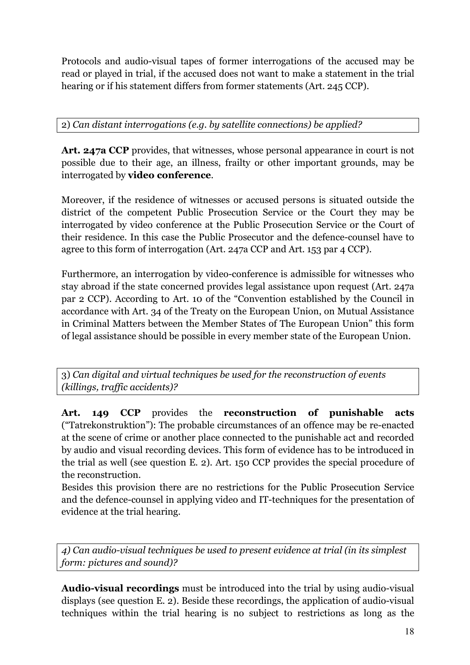Protocols and audio-visual tapes of former interrogations of the accused may be read or played in trial, if the accused does not want to make a statement in the trial hearing or if his statement differs from former statements (Art. 245 CCP).

2) *Can distant interrogations (e.g. by satellite connections) be applied?* 

**Art. 247a CCP** provides, that witnesses, whose personal appearance in court is not possible due to their age, an illness, frailty or other important grounds, may be interrogated by **video conference**.

Moreover, if the residence of witnesses or accused persons is situated outside the district of the competent Public Prosecution Service or the Court they may be interrogated by video conference at the Public Prosecution Service or the Court of their residence. In this case the Public Prosecutor and the defence-counsel have to agree to this form of interrogation (Art. 247a CCP and Art. 153 par 4 CCP).

Furthermore, an interrogation by video-conference is admissible for witnesses who stay abroad if the state concerned provides legal assistance upon request (Art. 247a par 2 CCP). According to Art. 10 of the "Convention established by the Council in accordance with Art. 34 of the Treaty on the European Union, on Mutual Assistance in Criminal Matters between the Member States of The European Union" this form of legal assistance should be possible in every member state of the European Union.

3) *Can digital and virtual techniques be used for the reconstruction of events (killings, traffic accidents)?*

**Art. 149 CCP** provides the **reconstruction of punishable acts** ("Tatrekonstruktion"): The probable circumstances of an offence may be re-enacted at the scene of crime or another place connected to the punishable act and recorded by audio and visual recording devices. This form of evidence has to be introduced in the trial as well (see question E. 2). Art. 150 CCP provides the special procedure of the reconstruction.

Besides this provision there are no restrictions for the Public Prosecution Service and the defence-counsel in applying video and IT-techniques for the presentation of evidence at the trial hearing.

*4) Can audio-visual techniques be used to present evidence at trial (in its simplest form: pictures and sound)?* 

**Audio-visual recordings** must be introduced into the trial by using audio-visual displays (see question E. 2). Beside these recordings, the application of audio-visual techniques within the trial hearing is no subject to restrictions as long as the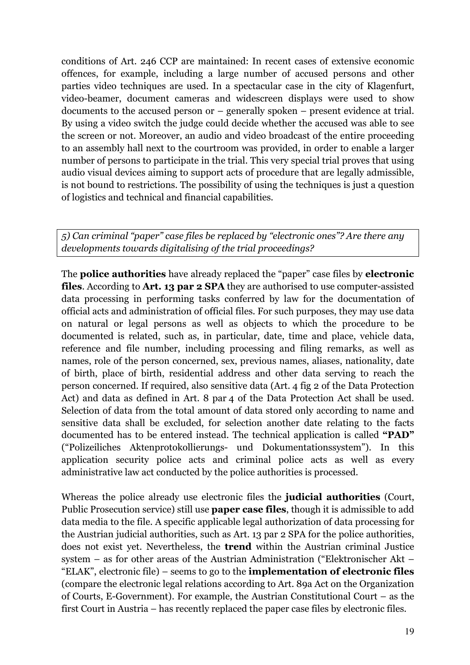conditions of Art. 246 CCP are maintained: In recent cases of extensive economic offences, for example, including a large number of accused persons and other parties video techniques are used. In a spectacular case in the city of Klagenfurt, video-beamer, document cameras and widescreen displays were used to show documents to the accused person or – generally spoken – present evidence at trial. By using a video switch the judge could decide whether the accused was able to see the screen or not. Moreover, an audio and video broadcast of the entire proceeding to an assembly hall next to the courtroom was provided, in order to enable a larger number of persons to participate in the trial. This very special trial proves that using audio visual devices aiming to support acts of procedure that are legally admissible, is not bound to restrictions. The possibility of using the techniques is just a question of logistics and technical and financial capabilities.

*5) Can criminal "paper" case files be replaced by "electronic ones"? Are there any developments towards digitalising of the trial proceedings?* 

The **police authorities** have already replaced the "paper" case files by **electronic files**. According to **Art. 13 par 2 SPA** they are authorised to use computer-assisted data processing in performing tasks conferred by law for the documentation of official acts and administration of official files. For such purposes, they may use data on natural or legal persons as well as objects to which the procedure to be documented is related, such as, in particular, date, time and place, vehicle data, reference and file number, including processing and filing remarks, as well as names, role of the person concerned, sex, previous names, aliases, nationality, date of birth, place of birth, residential address and other data serving to reach the person concerned. If required, also sensitive data (Art. 4 fig 2 of the Data Protection Act) and data as defined in Art. 8 par 4 of the Data Protection Act shall be used. Selection of data from the total amount of data stored only according to name and sensitive data shall be excluded, for selection another date relating to the facts documented has to be entered instead. The technical application is called **"PAD"**  ("Polizeiliches Aktenprotokollierungs- und Dokumentationssystem"). In this application security police acts and criminal police acts as well as every administrative law act conducted by the police authorities is processed.

Whereas the police already use electronic files the **judicial authorities** (Court, Public Prosecution service) still use **paper case files**, though it is admissible to add data media to the file. A specific applicable legal authorization of data processing for the Austrian judicial authorities, such as Art. 13 par 2 SPA for the police authorities, does not exist yet. Nevertheless, the **trend** within the Austrian criminal Justice system – as for other areas of the Austrian Administration ("Elektronischer Akt – "ELAK", electronic file) – seems to go to the **implementation of electronic files** (compare the electronic legal relations according to Art. 89a Act on the Organization of Courts, E-Government). For example, the Austrian Constitutional Court – as the first Court in Austria – has recently replaced the paper case files by electronic files.